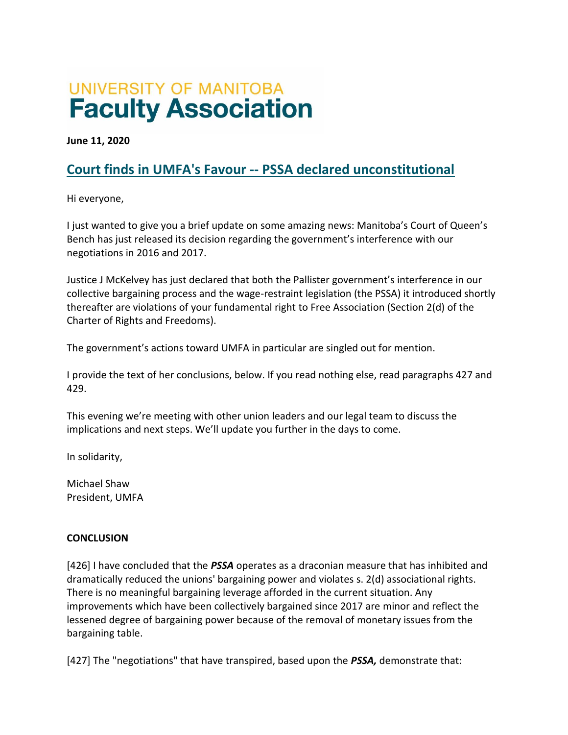## UNIVERSITY OF MANITOBA **Faculty Association**

**June 11, 2020**

## **Court finds in UMFA's Favour -- PSSA declared unconstitutional**

Hi everyone,

I just wanted to give you a brief update on some amazing news: Manitoba's Court of Queen's Bench has just released its decision regarding the government's interference with our negotiations in 2016 and 2017.

Justice J McKelvey has just declared that both the Pallister government's interference in our collective bargaining process and the wage-restraint legislation (the PSSA) it introduced shortly thereafter are violations of your fundamental right to Free Association (Section 2(d) of the Charter of Rights and Freedoms).

The government's actions toward UMFA in particular are singled out for mention.

I provide the text of her conclusions, below. If you read nothing else, read paragraphs 427 and 429.

This evening we're meeting with other union leaders and our legal team to discuss the implications and next steps. We'll update you further in the days to come.

In solidarity,

Michael Shaw President, UMFA

## **CONCLUSION**

[426] I have concluded that the *PSSA* operates as a draconian measure that has inhibited and dramatically reduced the unions' bargaining power and violates s. 2(d) associational rights. There is no meaningful bargaining leverage afforded in the current situation. Any improvements which have been collectively bargained since 2017 are minor and reflect the lessened degree of bargaining power because of the removal of monetary issues from the bargaining table.

[427] The "negotiations" that have transpired, based upon the *PSSA,* demonstrate that: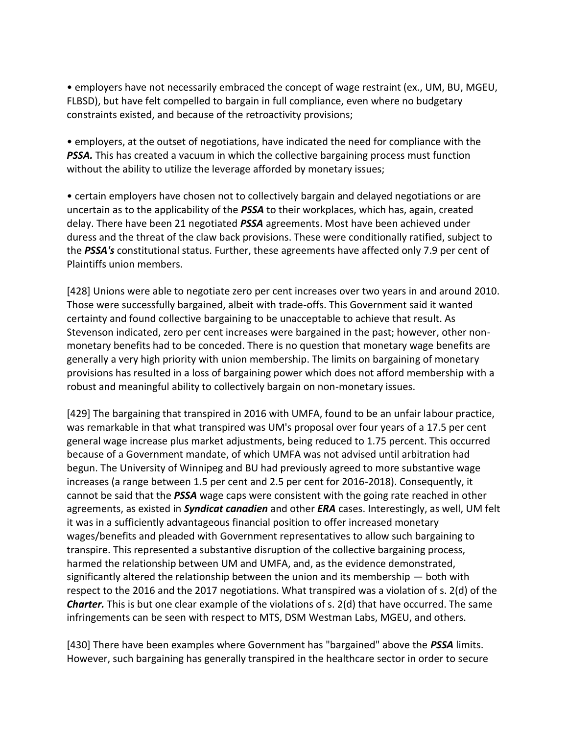• employers have not necessarily embraced the concept of wage restraint (ex., UM, BU, MGEU, FLBSD), but have felt compelled to bargain in full compliance, even where no budgetary constraints existed, and because of the retroactivity provisions;

• employers, at the outset of negotiations, have indicated the need for compliance with the **PSSA.** This has created a vacuum in which the collective bargaining process must function without the ability to utilize the leverage afforded by monetary issues;

• certain employers have chosen not to collectively bargain and delayed negotiations or are uncertain as to the applicability of the *PSSA* to their workplaces, which has, again, created delay. There have been 21 negotiated *PSSA* agreements. Most have been achieved under duress and the threat of the claw back provisions. These were conditionally ratified, subject to the *PSSA's* constitutional status. Further, these agreements have affected only 7.9 per cent of Plaintiffs union members.

[428] Unions were able to negotiate zero per cent increases over two years in and around 2010. Those were successfully bargained, albeit with trade-offs. This Government said it wanted certainty and found collective bargaining to be unacceptable to achieve that result. As Stevenson indicated, zero per cent increases were bargained in the past; however, other nonmonetary benefits had to be conceded. There is no question that monetary wage benefits are generally a very high priority with union membership. The limits on bargaining of monetary provisions has resulted in a loss of bargaining power which does not afford membership with a robust and meaningful ability to collectively bargain on non-monetary issues.

[429] The bargaining that transpired in 2016 with UMFA, found to be an unfair labour practice, was remarkable in that what transpired was UM's proposal over four years of a 17.5 per cent general wage increase plus market adjustments, being reduced to 1.75 percent. This occurred because of a Government mandate, of which UMFA was not advised until arbitration had begun. The University of Winnipeg and BU had previously agreed to more substantive wage increases (a range between 1.5 per cent and 2.5 per cent for 2016-2018). Consequently, it cannot be said that the *PSSA* wage caps were consistent with the going rate reached in other agreements, as existed in *Syndicat canadien* and other *ERA* cases. Interestingly, as well, UM felt it was in a sufficiently advantageous financial position to offer increased monetary wages/benefits and pleaded with Government representatives to allow such bargaining to transpire. This represented a substantive disruption of the collective bargaining process, harmed the relationship between UM and UMFA, and, as the evidence demonstrated, significantly altered the relationship between the union and its membership — both with respect to the 2016 and the 2017 negotiations. What transpired was a violation of s. 2(d) of the *Charter.* This is but one clear example of the violations of s. 2(d) that have occurred. The same infringements can be seen with respect to MTS, DSM Westman Labs, MGEU, and others.

[430] There have been examples where Government has "bargained" above the *PSSA* limits. However, such bargaining has generally transpired in the healthcare sector in order to secure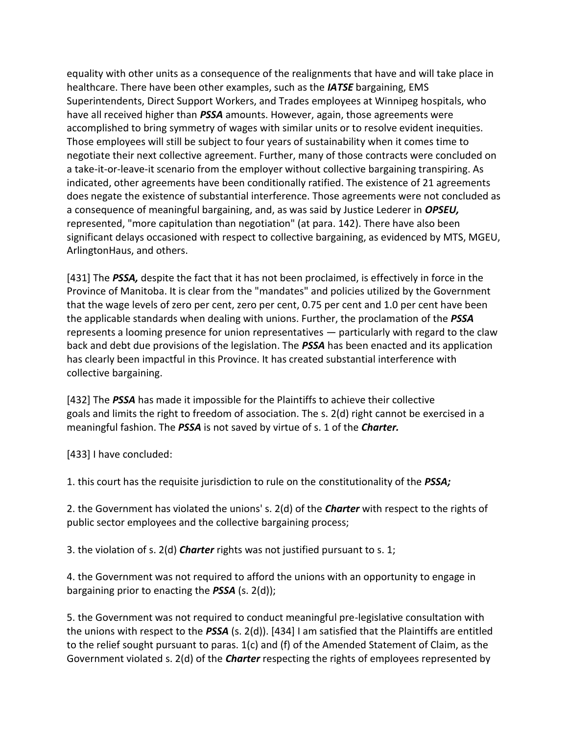equality with other units as a consequence of the realignments that have and will take place in healthcare. There have been other examples, such as the *IATSE* bargaining, EMS Superintendents, Direct Support Workers, and Trades employees at Winnipeg hospitals, who have all received higher than *PSSA* amounts. However, again, those agreements were accomplished to bring symmetry of wages with similar units or to resolve evident inequities. Those employees will still be subject to four years of sustainability when it comes time to negotiate their next collective agreement. Further, many of those contracts were concluded on a take-it-or-leave-it scenario from the employer without collective bargaining transpiring. As indicated, other agreements have been conditionally ratified. The existence of 21 agreements does negate the existence of substantial interference. Those agreements were not concluded as a consequence of meaningful bargaining, and, as was said by Justice Lederer in *OPSEU,*  represented, "more capitulation than negotiation" (at para. 142). There have also been significant delays occasioned with respect to collective bargaining, as evidenced by MTS, MGEU, ArlingtonHaus, and others.

[431] The *PSSA,* despite the fact that it has not been proclaimed, is effectively in force in the Province of Manitoba. It is clear from the "mandates" and policies utilized by the Government that the wage levels of zero per cent, zero per cent, 0.75 per cent and 1.0 per cent have been the applicable standards when dealing with unions. Further, the proclamation of the *PSSA*  represents a looming presence for union representatives — particularly with regard to the claw back and debt due provisions of the legislation. The *PSSA* has been enacted and its application has clearly been impactful in this Province. It has created substantial interference with collective bargaining.

[432] The *PSSA* has made it impossible for the Plaintiffs to achieve their collective goals and limits the right to freedom of association. The s. 2(d) right cannot be exercised in a meaningful fashion. The *PSSA* is not saved by virtue of s. 1 of the *Charter.*

[433] I have concluded:

1. this court has the requisite jurisdiction to rule on the constitutionality of the *PSSA;*

2. the Government has violated the unions' s. 2(d) of the *Charter* with respect to the rights of public sector employees and the collective bargaining process;

3. the violation of s. 2(d) *Charter* rights was not justified pursuant to s. 1;

4. the Government was not required to afford the unions with an opportunity to engage in bargaining prior to enacting the *PSSA* (s. 2(d));

5. the Government was not required to conduct meaningful pre-legislative consultation with the unions with respect to the *PSSA* (s. 2(d)). [434] I am satisfied that the Plaintiffs are entitled to the relief sought pursuant to paras. 1(c) and (f) of the Amended Statement of Claim, as the Government violated s. 2(d) of the *Charter* respecting the rights of employees represented by